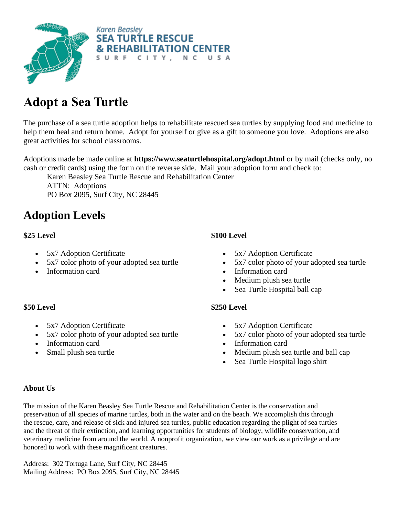

## **Adopt a Sea Turtle**

The purchase of a sea turtle adoption helps to rehabilitate rescued sea turtles by supplying food and medicine to help them heal and return home. Adopt for yourself or give as a gift to someone you love. Adoptions are also great activities for school classrooms.

Adoptions made be made online at **https://www.seaturtlehospital.org/adopt.html** or by mail (checks only, no cash or credit cards) using the form on the reverse side. Mail your adoption form and check to:

Karen Beasley Sea Turtle Rescue and Rehabilitation Center

ATTN: Adoptions PO Box 2095, Surf City, NC 28445

### **Adoption Levels**

#### **\$25 Level**

- 5x7 Adoption Certificate
- 5x7 color photo of your adopted sea turtle
- Information card

### **\$50 Level**

- 5x7 Adoption Certificate
- 5x7 color photo of your adopted sea turtle
- Information card
- Small plush sea turtle

### **\$100 Level**

- 5x7 Adoption Certificate
- 5x7 color photo of your adopted sea turtle
- Information card
- Medium plush sea turtle
- Sea Turtle Hospital ball cap

### **\$250 Level**

- 5x7 Adoption Certificate
- 5x7 color photo of your adopted sea turtle
- Information card
- Medium plush sea turtle and ball cap
- Sea Turtle Hospital logo shirt

### **About Us**

The mission of the Karen Beasley Sea Turtle Rescue and Rehabilitation Center is the conservation and preservation of all species of marine turtles, both in the water and on the beach. We accomplish this through the rescue, care, and release of sick and injured sea turtles, public education regarding the plight of sea turtles and the threat of their extinction, and learning opportunities for students of biology, wildlife conservation, and veterinary medicine from around the world. A nonprofit organization, we view our work as a privilege and are honored to work with these magnificent creatures.

Address: 302 Tortuga Lane, Surf City, NC 28445 Mailing Address: PO Box 2095, Surf City, NC 28445